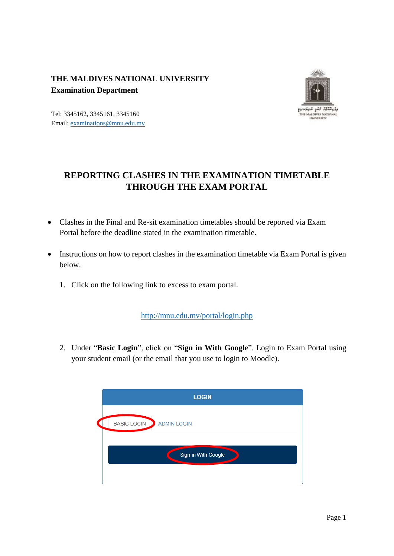**THE MALDIVES NATIONAL UNIVERSITY Examination Department**



Tel: 3345162, 3345161, 3345160 Email: [examinations@mnu.edu.mv](mailto:examinations@mnu.edu.mv)

## **REPORTING CLASHES IN THE EXAMINATION TIMETABLE THROUGH THE EXAM PORTAL**

- Clashes in the Final and Re-sit examination timetables should be reported via Exam Portal before the deadline stated in the examination timetable.
- Instructions on how to report clashes in the examination timetable via Exam Portal is given below.
	- 1. Click on the following link to excess to exam portal.

<http://mnu.edu.mv/portal/login.php>

2. Under "**Basic Login**", click on "**Sign in With Google**". Login to Exam Portal using your student email (or the email that you use to login to Moodle).

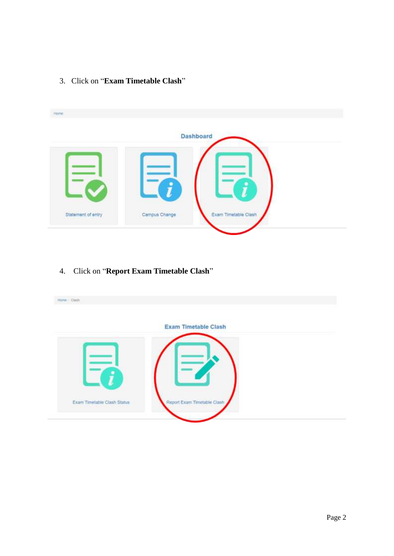3. Click on "**Exam Timetable Clash**"



4. Click on "**Report Exam Timetable Clash**"

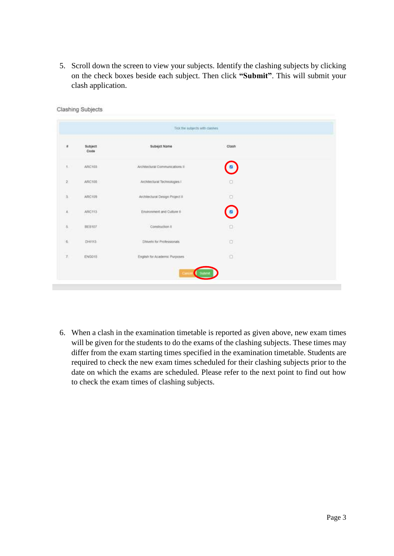5. Scroll down the screen to view your subjects. Identify the clashing subjects by clicking on the check boxes beside each subject. Then click **"Submit"**. This will submit your clash application.

| Tex for subjects with clashes |                             |                                 |       |  |
|-------------------------------|-----------------------------|---------------------------------|-------|--|
|                               | Subject<br>Code             | <b>Subejct Name</b>             | Clash |  |
|                               | ARC103                      | Architectural Communications II | ø     |  |
|                               | ARC105                      | Architectural Technologies I    | α     |  |
|                               | <b>CONTRACTOR</b><br>ARC109 | Architectural Design Project II | o     |  |
|                               | 23415.25<br>ARC113          | Environment and Culture II      | ø.    |  |
|                               | <b>BES107</b>               | Construction II                 | o     |  |
|                               | CPR113                      | Dhivetil for Professionals      | O.    |  |
|                               | ENGO15                      | English for Academic Purposes   | O.    |  |
|                               |                             | iaturre                         |       |  |

Clashing Subjects

6. When a clash in the examination timetable is reported as given above, new exam times will be given for the students to do the exams of the clashing subjects. These times may differ from the exam starting times specified in the examination timetable. Students are required to check the new exam times scheduled for their clashing subjects prior to the date on which the exams are scheduled. Please refer to the next point to find out how to check the exam times of clashing subjects.